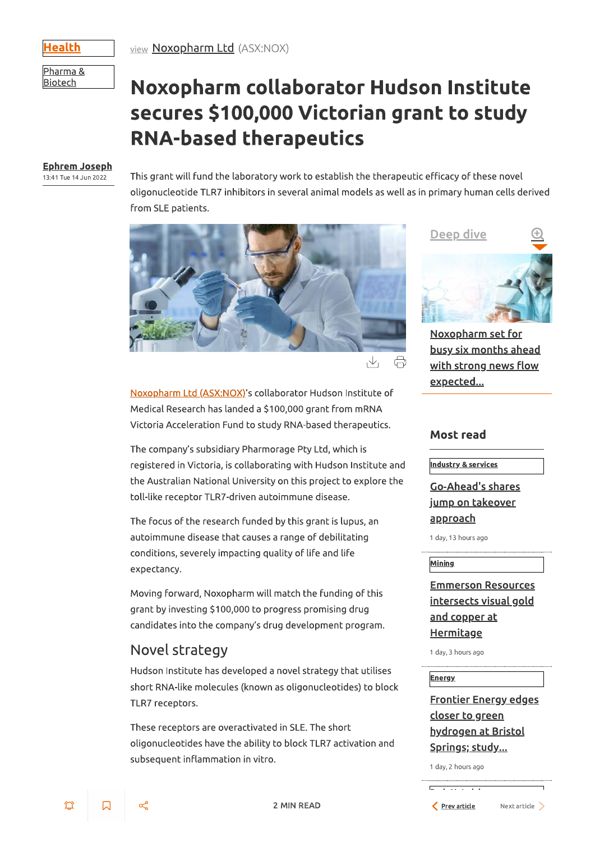Health

view Noxopharm Ltd (ASX:NOX)

Pharma & **Biotech** 

# Noxopharm collaborator Hudson Institute secures \$100,000 Victorian grant to study **RNA-based therapeutics**

#### **Ephrem Joseph**

13:41 Tue 14 Jun 2022

Ö

 $\Box$ 

This grant will fund the laboratory work to establish the therapeutic efficacy of these novel oligonucleotide TLR7 inhibitors in several animal models as well as in primary human cells derived from SLE patients.



 $\vee$  $\bigoplus$ 

Noxopharm Ltd (ASX:NOX)'s collaborator Hudson Institute of Medical Research has landed a \$100,000 grant from mRNA Victoria Acceleration Fund to study RNA-based therapeutics.

The company's subsidiary Pharmorage Pty Ltd, which is registered in Victoria, is collaborating with Hudson Institute and the Australian National University on this project to explore the toll-like receptor TLR7-driven autoimmune disease.

The focus of the research funded by this grant is lupus, an autoimmune disease that causes a range of debilitating conditions, severely impacting quality of life and life expectancy.

Moving forward, Noxopharm will match the funding of this grant by investing \$100,000 to progress promising drug candidates into the company's drug development program.



Noxopharm set for busy six months ahead with strong news flow expected...

#### **Most read**

**Industry & services** 

Go-Ahead's shares <u>jump on takeover</u> <u>approach</u>

1 day, 13 hours ago

#### **Mining**

**Emmerson Resources** <u>intersects visual gold</u> <u>and copper at</u> **Hermitage** 

## Novel strategy

Hudson Institute has developed a novel strategy that utilises short RNA-like molecules (known as oligonucleotides) to block TLR7 receptors.

These receptors are overactivated in SLE. The short oligonucleotides have the ability to block TLR7 activation and subsequent inflammation in vitro.

**2 MIN READ** 

1 day, 3 hours ago

**Energy** 

**Frontier Energy edges** <u>closer to green</u> hydrogen at Bristol <u>Springs; study...</u>

1 day, 2 hours ago

Prev article

Next article >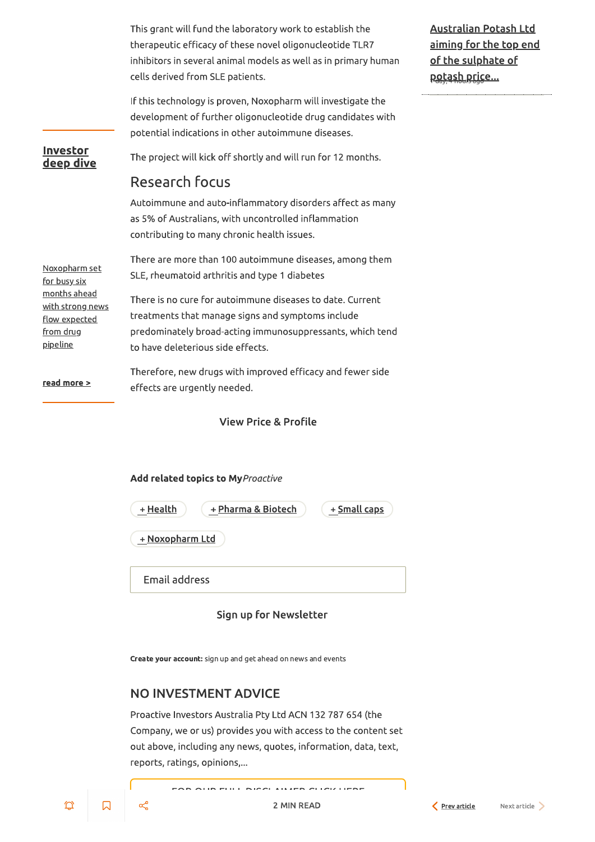This grant will fund the laboratory work to establish the therapeutic efficacy of these novel oligonucleotide TLR7 inhibitors in several animal models as well as in primary human cells derived from SLE patients.

If this technology is proven, Noxopharm will investigate the development of further oligonucleotide drug candidates with potential indications in other autoimmune diseases.

The project will kick off shortly and will run for 12 months.

## **Research focus**

Investor

deep dive

Autoimmune and auto-inflammatory disorders affect as many as 5% of Australians, with uncontrolled inflammation contributing to many chronic health issues.

There are more than 100 autoimmune diseases, among them Noxopharm set SLE, rheumatoid arthritis and type 1 diabetes for busy six months ahead There is no cure for autoimmune diseases to date. Current <u>with strong news</u> treatments that manage signs and symptoms include flow expected from drug predominately broad-acting immunosuppressants, which tend pipeline to have deleterious side effects.

Therefore, new drugs with improved efficacy and fewer side read more > effects are urgently needed.

**View Price & Profile** 

#### Add related topics to MyProactive

| + Health        | + Pharma & Biotech | + Small caps |
|-----------------|--------------------|--------------|
| + Noxopharm Ltd |                    |              |
| Email address   |                    |              |

#### **Australian Potash Ltd** <u>aiming for the top end</u> of the sulphate of potash price...

#### Sign up for Newsletter

Create your account: sign up and get ahead on news and events

#### **NO INVESTMENT ADVICE**

Proactive Investors Australia Pty Ltd ACN 132 787 654 (the Company, we or us) provides you with access to the content set out above, including any news, quotes, information, data, text, reports, ratings, opinions,...

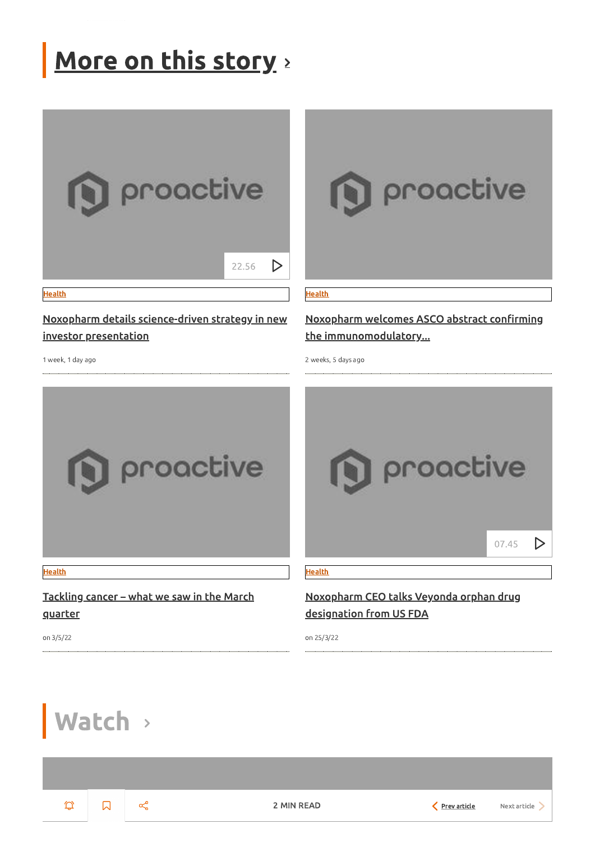# More on this story



Noxopharm details science-driven strategy in new

investor presentation

1 week, 1 day ago



**Health** 

### Noxopharm welcomes ASCO abstract confirming the immunomodulatory...

2 weeks, 5 days ago



Tackling cancer - what we saw in the March quarter



Noxopharm CEO talks Veyonda orphan drug designation from US FDA

Watch >

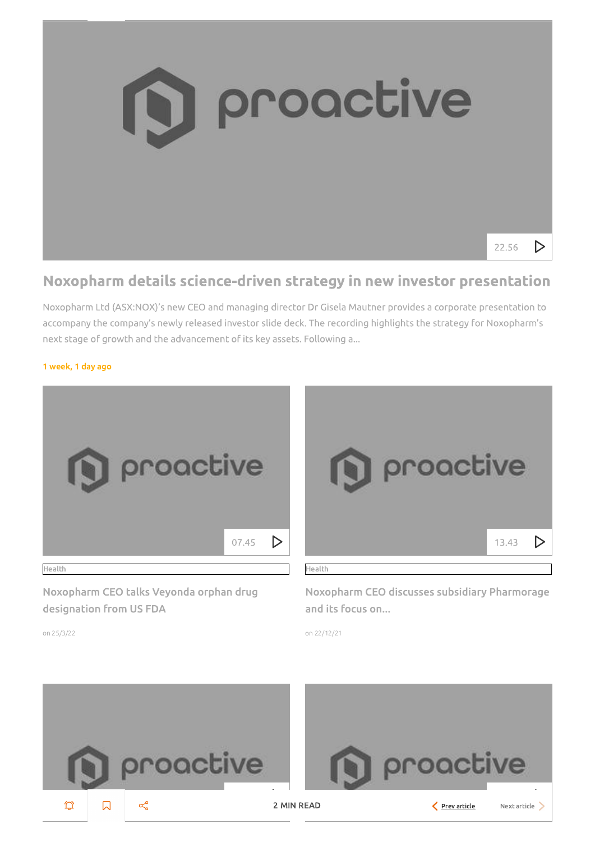

# Noxopharm details science-driven strategy in new investor presentation

Noxopharm Ltd (ASX:NOX)'s new CEO and managing director Dr Gisela Mautner provides a corporate presentation to accompany the company's newly released investor slide deck. The recording highlights the strategy for Noxopharm's next stage of growth and the advancement of its key assets. Following a...

#### 1 week, 1 day ago



Noxopharm CEO talks Veyonda orphan drug designation from US FDA



Noxopharm CEO discusses subsidiary Pharmorage and its focus on...

on 22/12/21